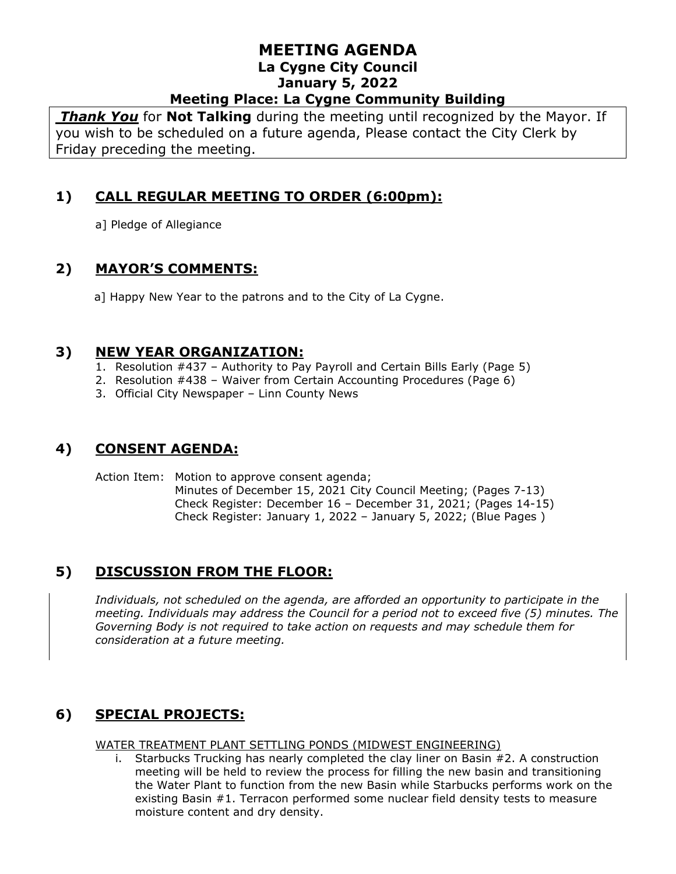*Thank You* for **Not Talking** during the meeting until recognized by the Mayor. If you wish to be scheduled on a future agenda, Please contact the City Clerk by Friday preceding the meeting.

# **1) CALL REGULAR MEETING TO ORDER (6:00pm):**

a] Pledge of Allegiance

# **2) MAYOR'S COMMENTS:**

a] Happy New Year to the patrons and to the City of La Cygne.

### **3) NEW YEAR ORGANIZATION:**

- 1. Resolution #437 Authority to Pay Payroll and Certain Bills Early (Page 5)
- 2. Resolution #438 Waiver from Certain Accounting Procedures (Page 6)
- 3. Official City Newspaper Linn County News

# **4) CONSENT AGENDA:**

Action Item: Motion to approve consent agenda; Minutes of December 15, 2021 City Council Meeting; (Pages 7-13) Check Register: December 16 – December 31, 2021; (Pages 14-15) Check Register: January 1, 2022 – January 5, 2022; (Blue Pages )

# **5) DISCUSSION FROM THE FLOOR:**

*Individuals, not scheduled on the agenda, are afforded an opportunity to participate in the meeting. Individuals may address the Council for a period not to exceed five (5) minutes. The Governing Body is not required to take action on requests and may schedule them for consideration at a future meeting.*

# **6) SPECIAL PROJECTS:**

WATER TREATMENT PLANT SETTLING PONDS (MIDWEST ENGINEERING)

i. Starbucks Trucking has nearly completed the clay liner on Basin #2. A construction meeting will be held to review the process for filling the new basin and transitioning the Water Plant to function from the new Basin while Starbucks performs work on the existing Basin #1. Terracon performed some nuclear field density tests to measure moisture content and dry density.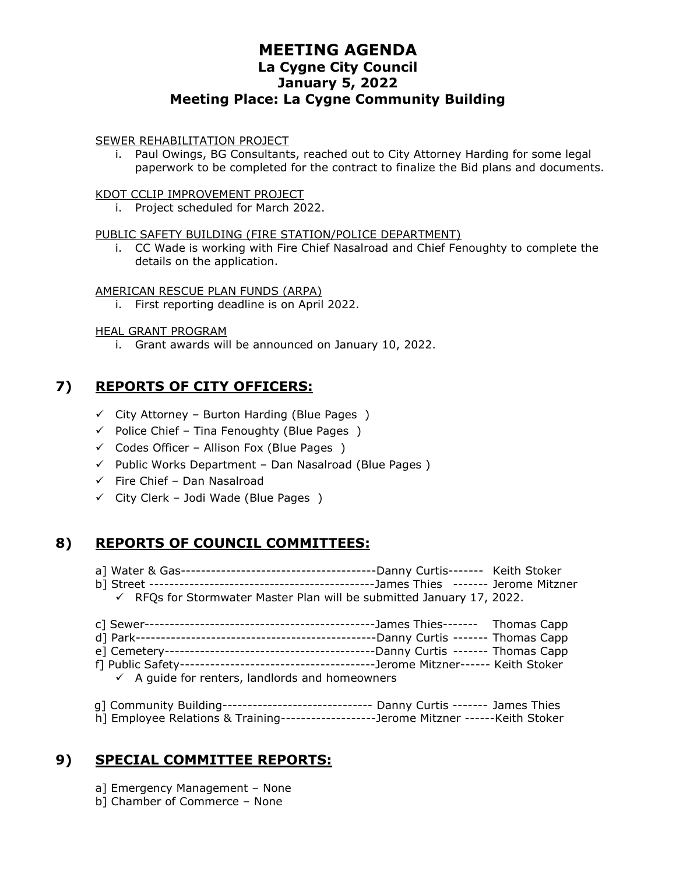#### SEWER REHABILITATION PROJECT

i. Paul Owings, BG Consultants, reached out to City Attorney Harding for some legal paperwork to be completed for the contract to finalize the Bid plans and documents.

#### KDOT CCLIP IMPROVEMENT PROJECT

i. Project scheduled for March 2022.

#### PUBLIC SAFETY BUILDING (FIRE STATION/POLICE DEPARTMENT)

i. CC Wade is working with Fire Chief Nasalroad and Chief Fenoughty to complete the details on the application.

#### AMERICAN RESCUE PLAN FUNDS (ARPA)

i. First reporting deadline is on April 2022.

#### HEAL GRANT PROGRAM

i. Grant awards will be announced on January 10, 2022.

## **7) REPORTS OF CITY OFFICERS:**

- $\checkmark$  City Attorney Burton Harding (Blue Pages)
- $\checkmark$  Police Chief Tina Fenoughty (Blue Pages)
- $\checkmark$  Codes Officer Allison Fox (Blue Pages)
- $\checkmark$  Public Works Department Dan Nasalroad (Blue Pages)
- ✓ Fire Chief Dan Nasalroad
- $\checkmark$  City Clerk Jodi Wade (Blue Pages)

### **8) REPORTS OF COUNCIL COMMITTEES:**

- a] Water & Gas---------------------------------------Danny Curtis------- Keith Stoker b] Street ---------------------------------------------James Thies ------- Jerome Mitzner  $\checkmark$  RFQs for Stormwater Master Plan will be submitted January 17, 2022.
- c] Sewer----------------------------------------------James Thies------- Thomas Capp d] Park------------------------------------------------Danny Curtis ------- Thomas Capp e] Cemetery------------------------------------------Danny Curtis ------- Thomas Capp f] Public Safety---------------------------------------Jerome Mitzner------ Keith Stoker  $\checkmark$  A guide for renters, landlords and homeowners
- g] Community Building------------------------------ Danny Curtis ------- James Thies h] Employee Relations & Training-------------------Jerome Mitzner ------Keith Stoker

# **9) SPECIAL COMMITTEE REPORTS:**

- a] Emergency Management None
- b] Chamber of Commerce None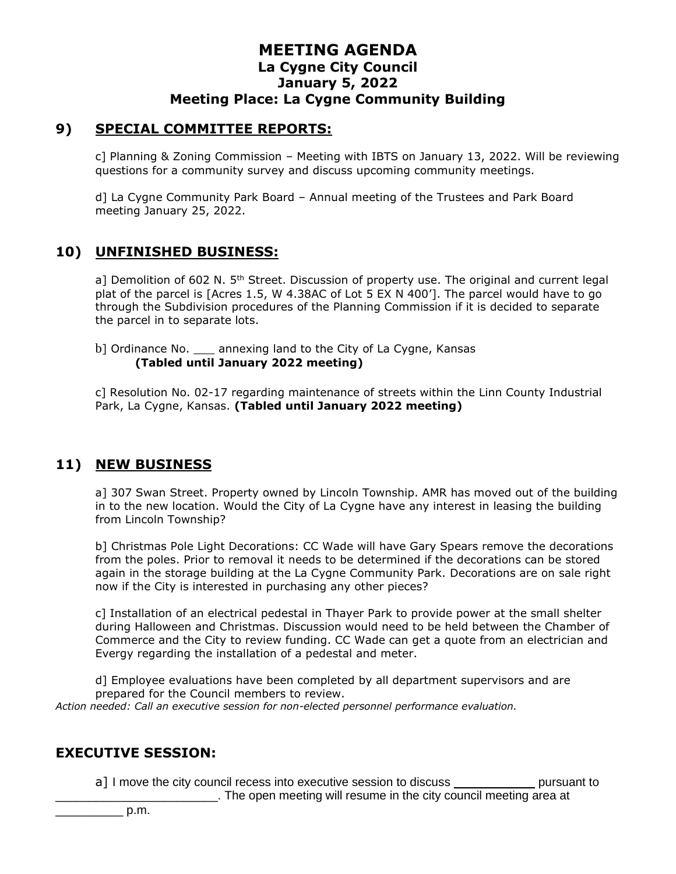#### **9) SPECIAL COMMITTEE REPORTS:**

c] Planning & Zoning Commission – Meeting with IBTS on January 13, 2022. Will be reviewing questions for a community survey and discuss upcoming community meetings.

d] La Cygne Community Park Board – Annual meeting of the Trustees and Park Board meeting January 25, 2022.

### **10) UNFINISHED BUSINESS:**

a] Demolition of 602 N.  $5<sup>th</sup>$  Street. Discussion of property use. The original and current legal plat of the parcel is [Acres 1.5, W 4.38AC of Lot 5 EX N 400']. The parcel would have to go through the Subdivision procedures of the Planning Commission if it is decided to separate the parcel in to separate lots.

b] Ordinance No. annexing land to the City of La Cygne, Kansas **(Tabled until January 2022 meeting)**

c] Resolution No. 02-17 regarding maintenance of streets within the Linn County Industrial Park, La Cygne, Kansas. **(Tabled until January 2022 meeting)**

### **11) NEW BUSINESS**

a] 307 Swan Street. Property owned by Lincoln Township. AMR has moved out of the building in to the new location. Would the City of La Cygne have any interest in leasing the building from Lincoln Township?

b] Christmas Pole Light Decorations: CC Wade will have Gary Spears remove the decorations from the poles. Prior to removal it needs to be determined if the decorations can be stored again in the storage building at the La Cygne Community Park. Decorations are on sale right now if the City is interested in purchasing any other pieces?

c] Installation of an electrical pedestal in Thayer Park to provide power at the small shelter during Halloween and Christmas. Discussion would need to be held between the Chamber of Commerce and the City to review funding. CC Wade can get a quote from an electrician and Evergy regarding the installation of a pedestal and meter.

d] Employee evaluations have been completed by all department supervisors and are prepared for the Council members to review.

*Action needed: Call an executive session for non-elected personnel performance evaluation.*

### **EXECUTIVE SESSION:**

a] I move the city council recess into executive session to discuss \_\_\_\_\_\_\_\_\_\_\_\_\_ pursuant to

\_\_\_\_\_\_\_\_\_\_\_\_\_\_\_\_\_\_\_\_\_\_\_\_. The open meeting will resume in the city council meeting area at